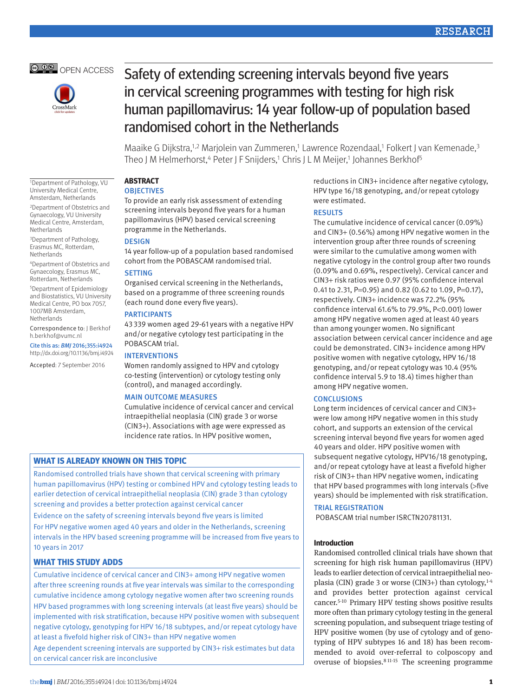# $\circ$  OPEN ACCESS



# Safety of extending screening intervals beyond five years in cervical screening programmes with testing for high risk human papillomavirus: 14 year follow-up of population based randomised cohort in the Netherlands

Maaike G Dijkstra,<sup>1,2</sup> Marjolein van Zummeren,<sup>1</sup> Lawrence Rozendaal,<sup>1</sup> Folkert J van Kemenade,<sup>3</sup> Theo J M Helmerhorst, <sup>4</sup> Peter J F Snijders,<sup>1</sup> Chris J L M Meijer,<sup>1</sup> Johannes Berkhof<sup>5</sup>

1Department of Pathology, VU University Medical Centre, Amsterdam, Netherlands

2Department of Obstetrics and Gynaecology, VU University Medical Centre, Amsterdam, Netherlands

3Department of Pathology, Erasmus MC, Rotterdam, **Netherlands** 

4Department of Obstetrics and Gynaecology, Erasmus MC, Rotterdam, Netherlands

5Department of Epidemiology and Biostatistics, VU University Medical Centre, PO box 7057, 1007MB Amsterdam, Netherlands

Correspondence to: J Berkhof h.berkhof@vumc.nl

Cite this as: *BMJ* 2016;355:i4924 http://dx.doi.org/10.1136/bmj.i4924

Accepted: 7 September 2016

# **ABSTRACT**

# **OBJECTIVES**

To provide an early risk assessment of extending screening intervals beyond five years for a human papillomavirus (HPV) based cervical screening programme in the Netherlands.

## **DESIGN**

14 year follow-up of a population based randomised cohort from the POBASCAM randomised trial.

## **SETTING**

Organised cervical screening in the Netherlands, based on a programme of three screening rounds (each round done every five years).

#### **PARTICIPANTS**

43339 women aged 29-61 years with a negative HPV and/or negative cytology test participating in the POBASCAM trial.

# **INTERVENTIONS**

Women randomly assigned to HPV and cytology co-testing (intervention) or cytology testing only (control), and managed accordingly.

# Main outcome measures

Cumulative incidence of cervical cancer and cervical intraepithelial neoplasia (CIN) grade 3 or worse (CIN3+). Associations with age were expressed as incidence rate ratios. In HPV positive women,

# **What is already known on this topic**

Randomised controlled trials have shown that cervical screening with primary human papillomavirus (HPV) testing or combined HPV and cytology testing leads to earlier detection of cervical intraepithelial neoplasia (CIN) grade 3 than cytology screening and provides a better protection against cervical cancer

Evidence on the safety of screening intervals beyond five years is limited

For HPV negative women aged 40 years and older in the Netherlands, screening intervals in the HPV based screening programme will be increased from five years to 10 years in 2017

# **What this study adds**

Cumulative incidence of cervical cancer and CIN3+ among HPV negative women after three screening rounds at five year intervals was similar to the corresponding cumulative incidence among cytology negative women after two screening rounds HPV based programmes with long screening intervals (at least five years) should be implemented with risk stratification, because HPV positive women with subsequent negative cytology, genotyping for HPV 16/18 subtypes, and/or repeat cytology have at least a fivefold higher risk of CIN3+ than HPV negative women

Age dependent screening intervals are supported by CIN3+ risk estimates but data on cervical cancer risk are inconclusive

reductions in CIN3+ incidence after negative cytology, HPV type 16/18 genotyping, and/or repeat cytology were estimated.

## **RESULTS**

The cumulative incidence of cervical cancer (0.09%) and CIN3+ (0.56%) among HPV negative women in the intervention group after three rounds of screening were similar to the cumulative among women with negative cytology in the control group after two rounds (0.09% and 0.69%, respectively). Cervical cancer and CIN3+ risk ratios were 0.97 (95% confidence interval 0.41 to 2.31, P=0.95) and 0.82 (0.62 to 1.09, P=0.17), respectively. CIN3+ incidence was 72.2% (95% confidence interval 61.6% to 79.9%, P<0.001) lower among HPV negative women aged at least 40 years than among younger women. No significant association between cervical cancer incidence and age could be demonstrated. CIN3+ incidence among HPV positive women with negative cytology, HPV 16/18 genotyping, and/or repeat cytology was 10.4 (95% confidence interval 5.9 to 18.4) times higher than among HPV negative women.

# **CONCLUSIONS**

Long term incidences of cervical cancer and CIN3+ were low among HPV negative women in this study cohort, and supports an extension of the cervical screening interval beyond five years for women aged 40 years and older. HPV positive women with subsequent negative cytology, HPV16/18 genotyping, and/or repeat cytology have at least a fivefold higher risk of CIN3+ than HPV negative women, indicating that HPV based programmes with long intervals (>five years) should be implemented with risk stratification.

## Trial registration

POBASCAM trial number ISRCTN20781131.

# **Introduction**

Randomised controlled clinical trials have shown that screening for high risk human papillomavirus (HPV) leads to earlier detection of cervical intraepithelial neoplasia (CIN) grade 3 or worse (CIN3+) than cytology, $1-4$ and provides better protection against cervical cancer.5-10 Primary HPV testing shows positive results more often than primary cytology testing in the general screening population, and subsequent triage testing of HPV positive women (by use of cytology and of genotyping of HPV subtypes 16 and 18) has been recommended to avoid over-referral to colposcopy and overuse of biopsies.8 11-15 The screening programme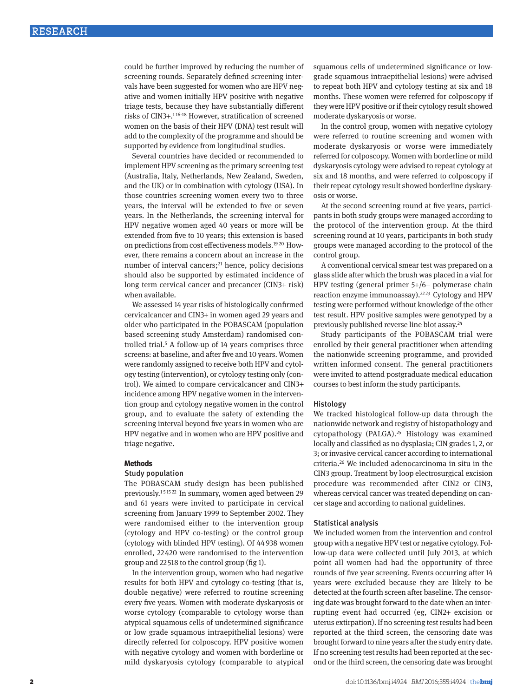could be further improved by reducing the number of screening rounds. Separately defined screening intervals have been suggested for women who are HPV negative and women initially HPV positive with negative triage tests, because they have substantially different risks of CIN3+. <sup>1</sup> 16-18 However, stratification of screened women on the basis of their HPV (DNA) test result will add to the complexity of the programme and should be supported by evidence from longitudinal studies.

Several countries have decided or recommended to implement HPV screening as the primary screening test (Australia, Italy, Netherlands, New Zealand, Sweden, and the UK) or in combination with cytology (USA). In those countries screening women every two to three years, the interval will be extended to five or seven years. In the Netherlands, the screening interval for HPV negative women aged 40 years or more will be extended from five to 10 years; this extension is based on predictions from cost effectiveness models.<sup>1920</sup> However, there remains a concern about an increase in the number of interval cancers;<sup>21</sup> hence, policy decisions should also be supported by estimated incidence of long term cervical cancer and precancer (CIN3+ risk) when available.

We assessed 14 year risks of histologically confirmed cervicalcancer and CIN3+ in women aged 29 years and older who participated in the POBASCAM (population based screening study Amsterdam) randomised controlled trial.5 A follow-up of 14 years comprises three screens: at baseline, and after five and 10 years. Women were randomly assigned to receive both HPV and cytology testing (intervention), or cytology testing only (control). We aimed to compare cervicalcancer and CIN3+ incidence among HPV negative women in the intervention group and cytology negative women in the control group, and to evaluate the safety of extending the screening interval beyond five years in women who are HPV negative and in women who are HPV positive and triage negative.

#### **Methods**

#### Study population

The POBASCAM study design has been published previously.<sup>151522</sup> In summary, women aged between 29 and 61 years were invited to participate in cervical screening from January 1999 to September 2002. They were randomised either to the intervention group (cytology and HPV co-testing) or the control group (cytology with blinded HPV testing). Of 44938 women enrolled, 22 420 were randomised to the intervention group and 22 518 to the control group (fig 1).

In the intervention group, women who had negative results for both HPV and cytology co-testing (that is, double negative) were referred to routine screening every five years. Women with moderate dyskaryosis or worse cytology (comparable to cytology worse than atypical squamous cells of undetermined significance or low grade squamous intraepithelial lesions) were directly referred for colposcopy. HPV positive women with negative cytology and women with borderline or mild dyskaryosis cytology (comparable to atypical

squamous cells of undetermined significance or lowgrade squamous intraepithelial lesions) were advised to repeat both HPV and cytology testing at six and 18 months. These women were referred for colposcopy if they were HPV positive or if their cytology result showed moderate dyskaryosis or worse.

In the control group, women with negative cytology were referred to routine screening and women with moderate dyskaryosis or worse were immediately referred for colposcopy. Women with borderline or mild dyskaryosis cytology were advised to repeat cytology at six and 18 months, and were referred to colposcopy if their repeat cytology result showed borderline dyskaryosis or worse.

At the second screening round at five years, participants in both study groups were managed according to the protocol of the intervention group. At the third screening round at 10 years, participants in both study groups were managed according to the protocol of the control group.

A conventional cervical smear test was prepared on a glass slide after which the brush was placed in a vial for HPV testing (general primer 5+/6+ polymerase chain reaction enzyme immunoassay).<sup>2223</sup> Cytology and HPV testing were performed without knowledge of the other test result. HPV positive samples were genotyped by a previously published reverse line blot assay.24

Study participants of the POBASCAM trial were enrolled by their general practitioner when attending the nationwide screening programme, and provided written informed consent. The general practitioners were invited to attend postgraduate medical education courses to best inform the study participants.

# Histology

We tracked histological follow-up data through the nationwide network and registry of histopathology and cytopathology (PALGA).25 Histology was examined locally and classified as no dysplasia; CIN grades 1, 2, or 3; or invasive cervical cancer according to international criteria.26 We included adenocarcinoma in situ in the CIN3 group. Treatment by loop electrosurgical excision procedure was recommended after CIN2 or CIN3, whereas cervical cancer was treated depending on cancer stage and according to national guidelines.

# Statistical analysis

We included women from the intervention and control group with a negative HPV test or negative cytology. Follow-up data were collected until July 2013, at which point all women had had the opportunity of three rounds of five year screening. Events occurring after 14 years were excluded because they are likely to be detected at the fourth screen after baseline. The censoring date was brought forward to the date when an interrupting event had occurred (eg, CIN2+ excision or uterus extirpation). If no screening test results had been reported at the third screen, the censoring date was brought forward to nine years after the study entry date. If no screening test results had been reported at the second or the third screen, the censoring date was brought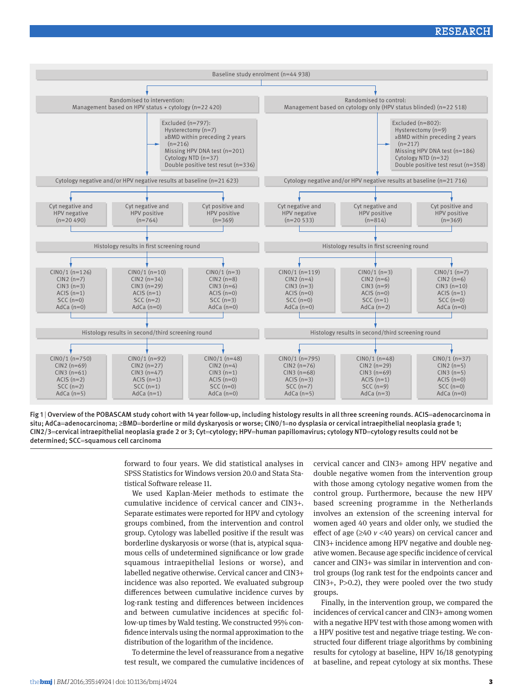

Fig 1 | Overview of the POBASCAM study cohort with 14 year follow-up, including histology results in all three screening rounds. ACIS=adenocarcinoma in situ; AdCa=adenocarcinoma; ≥BMD=borderline or mild dyskaryosis or worse; CIN0/1=no dysplasia or cervical intraepithelial neoplasia grade 1; CIN2/3=cervical intraepithelial neoplasia grade 2 or 3; Cyt=cytology; HPV=human papillomavirus; cytology NTD=cytology results could not be determined; SCC=squamous cell carcinoma

forward to four years. We did statistical analyses in SPSS Statistics for Windows version 20.0 and Stata Statistical Software release 11.

We used Kaplan-Meier methods to estimate the cumulative incidence of cervical cancer and CIN3+. Separate estimates were reported for HPV and cytology groups combined, from the intervention and control group. Cytology was labelled positive if the result was borderline dyskaryosis or worse (that is, atypical squamous cells of undetermined significance or low grade squamous intraepithelial lesions or worse), and labelled negative otherwise. Cervical cancer and CIN3+ incidence was also reported. We evaluated subgroup differences between cumulative incidence curves by log-rank testing and differences between incidences and between cumulative incidences at specific follow-up times by Wald testing. We constructed 95% confidence intervals using the normal approximation to the distribution of the logarithm of the incidence.

To determine the level of reassurance from a negative test result, we compared the cumulative incidences of cervical cancer and CIN3+ among HPV negative and double negative women from the intervention group with those among cytology negative women from the control group. Furthermore, because the new HPV based screening programme in the Netherlands involves an extension of the screening interval for women aged 40 years and older only, we studied the effect of age  $(\geq 40 \text{ } v \leq 40 \text{ years})$  on cervical cancer and CIN3+ incidence among HPV negative and double negative women. Because age specific incidence of cervical cancer and CIN3+ was similar in intervention and control groups (log rank test for the endpoints cancer and CIN3+, P>0.2), they were pooled over the two study groups.

Finally, in the intervention group, we compared the incidences of cervical cancer and CIN3+ among women with a negative HPV test with those among women with a HPV positive test and negative triage testing. We constructed four different triage algorithms by combining results for cytology at baseline, HPV 16/18 genotyping at baseline, and repeat cytology at six months. These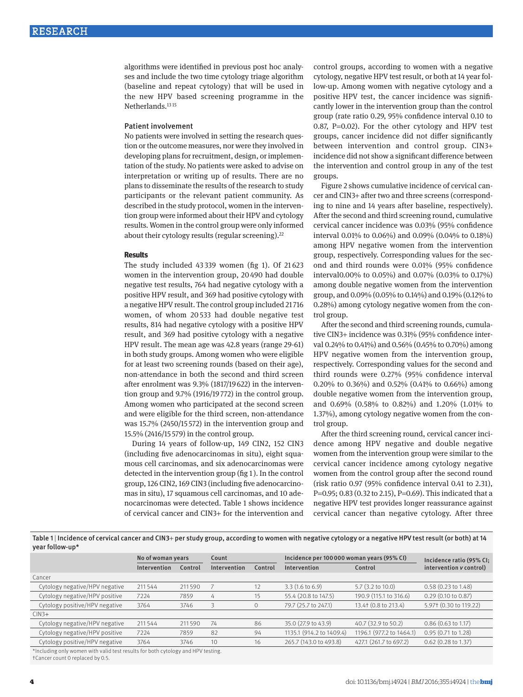algorithms were identified in previous post hoc analyses and include the two time cytology triage algorithm (baseline and repeat cytology) that will be used in the new HPV based screening programme in the Netherlands.<sup>1315</sup>

#### Patient involvement

No patients were involved in setting the research question or the outcome measures, nor were they involved in developing plans for recruitment, design, or implementation of the study. No patients were asked to advise on interpretation or writing up of results. There are no plans to disseminate the results of the research to study participants or the relevant patient community. As described in the study protocol, women in the intervention group were informed about their HPV and cytology results. Women in the control group were only informed about their cytology results (regular screening).<sup>22</sup>

#### **Results**

The study included 43 339 women (fig 1). Of 21 623 women in the intervention group, 20490 had double negative test results, 764 had negative cytology with a positive HPV result, and 369 had positive cytology with a negative HPV result. The control group included 21716 women, of whom 20 533 had double negative test results, 814 had negative cytology with a positive HPV result, and 369 had positive cytology with a negative HPV result. The mean age was 42.8 years (range 29-61) in both study groups. Among women who were eligible for at least two screening rounds (based on their age), non-attendance in both the second and third screen after enrolment was 9.3% (1817/19622) in the intervention group and 9.7% (1916/19772) in the control group. Among women who participated at the second screen and were eligible for the third screen, non-attendance was 15.7% (2450/15 572) in the intervention group and 15.5% (2416/15 579) in the control group.

During 14 years of follow-up, 149 CIN2, 152 CIN3 (including five adenocarcinomas in situ), eight squamous cell carcinomas, and six adenocarcinomas were detected in the intervention group (fig 1 ). In the control group, 126 CIN2, 169 CIN3 (including five adenocarcinomas in situ), 17 squamous cell carcinomas, and 10 adenocarcinomas were detected. Table 1 shows incidence of cervical cancer and CIN3+ for the intervention and

control groups, according to women with a negative cytology, negative HPV test result, or both at 14 year follow-up. Among women with negative cytology and a positive HPV test, the cancer incidence was significantly lower in the intervention group than the control group (rate ratio 0.29, 95% confidence interval 0.10 to 0.87, P=0.02). For the other cytology and HPV test groups, cancer incidence did not differ significantly between intervention and control group. CIN3+ incidence did not show a significant difference between the intervention and control group in any of the test groups.

Figure 2 shows cumulative incidence of cervical cancer and CIN3+ after two and three screens (corresponding to nine and 14 years after baseline, respectively). After the second and third screening round, cumulative cervical cancer incidence was 0.03% (95% confidence interval 0.01% to 0.06%) and 0.09% (0.04% to 0.18%) among HPV negative women from the intervention group, respectively. Corresponding values for the second and third rounds were 0.01% (95% confidence interval0.00% to 0.05%) and 0.07% (0.03% to 0.17%) among double negative women from the intervention group, and 0.09% (0.05% to 0.14%) and 0.19% (0.12% to 0.28%) among cytology negative women from the control group.

After the second and third screening rounds, cumulative CIN3+ incidence was 0.31% (95% confidence interval 0.24% to 0.41%) and 0.56% (0.45% to 0.70%) among HPV negative women from the intervention group, respectively. Corresponding values for the second and third rounds were 0.27% (95% confidence interval 0.20% to 0.36%) and 0.52% (0.41% to 0.66%) among double negative women from the intervention group, and 0.69% (0.58% to 0.82%) and 1.20% (1.01% to 1.37%), among cytology negative women from the control group.

After the third screening round, cervical cancer incidence among HPV negative and double negative women from the intervention group were similar to the cervical cancer incidence among cytology negative women from the control group after the second round (risk ratio 0.97 (95% confidence interval 0.41 to 2.31), P=0.95; 0.83 (0.32 to 2.15), P=0.69). This indicated that a negative HPV test provides longer reassurance against cervical cancer than negative cytology. After three

Table 1 | Incidence of cervical cancer and CIN3+ per study group, according to women with negative cytology or a negative HPV test result (or both) at 14 year follow-up\*

|                                                                                 | No of woman years |         | Count           |         | Incidence per 100 000 woman years (95% CI) |                          | Incidence ratio (95% CI;      |
|---------------------------------------------------------------------------------|-------------------|---------|-----------------|---------|--------------------------------------------|--------------------------|-------------------------------|
|                                                                                 | Intervention      | Control | Intervention    | Control | Intervention                               | Control                  | intervention v control)       |
| Cancer                                                                          |                   |         |                 |         |                                            |                          |                               |
| Cytology negative/HPV negative                                                  | 211544            | 211590  |                 | 12      | $3.3(1.6 \text{ to } 6.9)$                 | $5.7$ (3.2 to 10.0)      | $0.58(0.23 \text{ to } 1.48)$ |
| Cytology negative/HPV positive                                                  | 7224              | 7859    | 4               | 15      | 55.4 (20.8 to 147.5)                       | 190.9 (115.1 to 316.6)   | $0.29$ (0.10 to 0.87)         |
| Cytology positive/HPV negative                                                  | 3764              | 3746    |                 | 0       | 79.7 (25.7 to 247.1)                       | 13.4† (0.8 to 213.4)     | 5.97 f(0.30 to 119.22)        |
| $CIN3+$                                                                         |                   |         |                 |         |                                            |                          |                               |
| Cytology negative/HPV negative                                                  | 211544            | 211590  | 74              | 86      | 35.0 (27.9 to 43.9)                        | 40.7 (32.9 to 50.2)      | $0.86$ (0.63 to 1.17)         |
| Cytology negative/HPV positive                                                  | 7224              | 7859    | 82              | 94      | 1135.1 (914.2 to 1409.4)                   | 1196.1 (977.2 to 1464.1) | $0.95$ (0.71 to 1.28)         |
| Cytology positive/HPV negative                                                  | 3764              | 3746    | 10 <sup>°</sup> | 16      | 265.7 (143.0 to 493.8)                     | 427.1 (261.7 to 697.2)   | $0.62$ (0.28 to 1.37)         |
| *Including only women with valid test results for both cytology and HPV testing |                   |         |                 |         |                                            |                          |                               |

\*Including only women with valid test results for both cytology and HPV testing. †Cancer count 0 replaced by 0.5.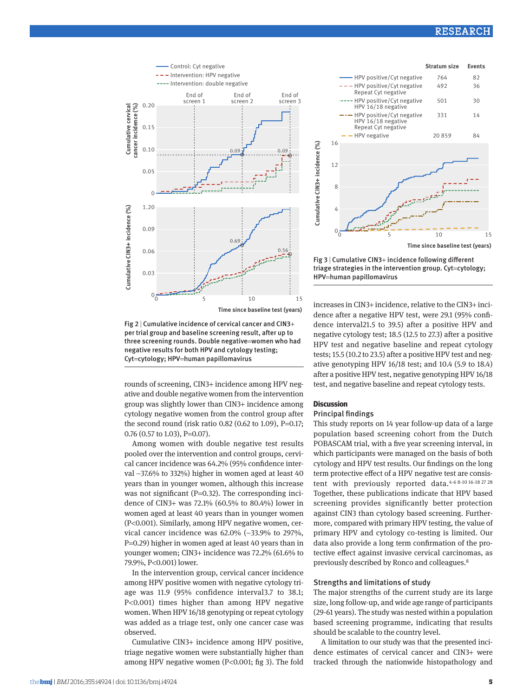# RESEARCH



Fig 2 | Cumulative incidence of cervical cancer and CIN3+ per trial group and baseline screening result, after up to three screening rounds. Double negative=women who had negative results for both HPV and cytology testing; Cyt=cytology; HPV=human papillomavirus

rounds of screening, CIN3+ incidence among HPV negative and double negative women from the intervention group was slightly lower than CIN3+ incidence among cytology negative women from the control group after the second round (risk ratio 0.82 (0.62 to 1.09),  $P=0.17$ ;  $0.76$  (0.57 to 1.03), P=0.07).

Among women with double negative test results pooled over the intervention and control groups, cervical cancer incidence was 64.2% (95% confidence interval −37.6% to 332%) higher in women aged at least 40 years than in younger women, although this increase was not significant (P=0.32). The corresponding incidence of CIN3+ was 72.1% (60.5% to 80.4%) lower in women aged at least 40 years than in younger women (P<0.001). Similarly, among HPV negative women, cervical cancer incidence was 62.0% (−33.9% to 297%, P=0.29) higher in women aged at least 40 years than in younger women; CIN3+ incidence was 72.2% (61.6% to 79.9%, P<0.001) lower.

In the intervention group, cervical cancer incidence among HPV positive women with negative cytology triage was 11.9 (95% confidence interval3.7 to 38.1; P<0.001) times higher than among HPV negative women. When HPV 16/18 genotyping or repeat cytology was added as a triage test, only one cancer case was observed.

Cumulative CIN3+ incidence among HPV positive, triage negative women were substantially higher than among HPV negative women (P<0.001; fig 3). The fold



Fig 3 | Cumulative CIN3+ incidence following different triage strategies in the intervention group. Cyt=cytology; HPV=human papillomavirus

increases in CIN3+ incidence, relative to the CIN3+ incidence after a negative HPV test, were 29.1 (95% confidence interval21.5 to 39.5) after a positive HPV and negative cytology test; 18.5 (12.5 to 27.3) after a positive HPV test and negative baseline and repeat cytology tests; 15.5 (10.2 to 23.5) after a positive HPV test and negative genotyping HPV 16/18 test; and 10.4 (5.9 to 18.4) after a positive HPV test, negative genotyping HPV 16/18 test, and negative baseline and repeat cytology tests.

# **Discussion**

## Principal findings

This study reports on 14 year follow-up data of a large population based screening cohort from the Dutch POBASCAM trial, with a five year screening interval, in which participants were managed on the basis of both cytology and HPV test results. Our findings on the long term protective effect of a HPV negative test are consistent with previously reported data. 4-6 8-10 16-18 27 28 Together, these publications indicate that HPV based screening provides significantly better protection against CIN3 than cytology based screening. Furthermore, compared with primary HPV testing, the value of primary HPV and cytology co-testing is limited. Our data also provide a long term confirmation of the protective effect against invasive cervical carcinomas, as previously described by Ronco and colleagues.8

#### Strengths and limitations of study

The major strengths of the current study are its large size, long follow-up, and wide age range of participants (29-61 years). The study was nested within a population based screening programme, indicating that results should be scalable to the country level.

A limitation to our study was that the presented incidence estimates of cervical cancer and CIN3+ were tracked through the nationwide histopathology and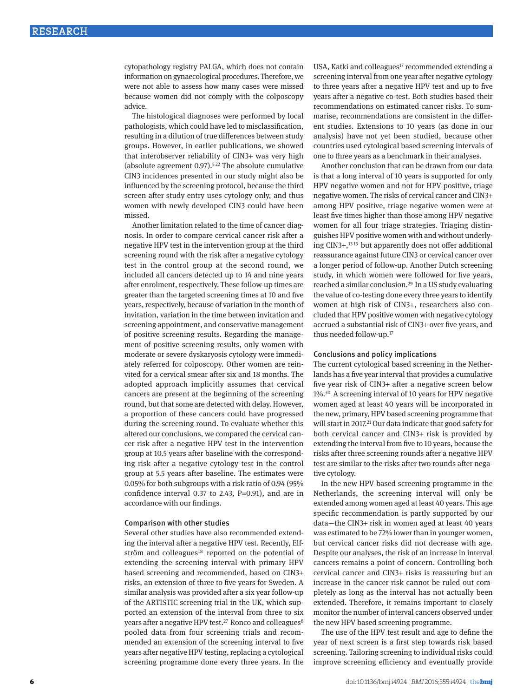cytopathology registry PALGA, which does not contain information on gynaecological procedures. Therefore, we were not able to assess how many cases were missed because women did not comply with the colposcopy advice.

The histological diagnoses were performed by local pathologists, which could have led to misclassification, resulting in a dilution of true differences between study groups. However, in earlier publications, we showed that interobserver reliability of CIN3+ was very high (absolute agreement 0.97).5 22 The absolute cumulative CIN3 incidences presented in our study might also be influenced by the screening protocol, because the third screen after study entry uses cytology only, and thus women with newly developed CIN3 could have been missed.

Another limitation related to the time of cancer diagnosis. In order to compare cervical cancer risk after a negative HPV test in the intervention group at the third screening round with the risk after a negative cytology test in the control group at the second round, we included all cancers detected up to 14 and nine years after enrolment, respectively. These follow-up times are greater than the targeted screening times at 10 and five years, respectively, because of variation in the month of invitation, variation in the time between invitation and screening appointment, and conservative management of positive screening results. Regarding the management of positive screening results, only women with moderate or severe dyskaryosis cytology were immediately referred for colposcopy. Other women are reinvited for a cervical smear after six and 18 months. The adopted approach implicitly assumes that cervical cancers are present at the beginning of the screening round, but that some are detected with delay. However, a proportion of these cancers could have progressed during the screening round. To evaluate whether this altered our conclusions, we compared the cervical cancer risk after a negative HPV test in the intervention group at 10.5 years after baseline with the corresponding risk after a negative cytology test in the control group at 5.5 years after baseline. The estimates were 0.05% for both subgroups with a risk ratio of 0.94 (95% confidence interval 0.37 to 2.43, P=0.91), and are in accordance with our findings.

## Comparison with other studies

Several other studies have also recommended extending the interval after a negative HPV test. Recently, Elfström and colleagues $18$  reported on the potential of extending the screening interval with primary HPV based screening and recommended, based on CIN3+ risks, an extension of three to five years for Sweden. A similar analysis was provided after a six year follow-up of the ARTISTIC screening trial in the UK, which supported an extension of the interval from three to six years after a negative HPV test.<sup>27</sup> Ronco and colleagues<sup>8</sup> pooled data from four screening trials and recommended an extension of the screening interval to five years after negative HPV testing, replacing a cytological screening programme done every three years. In the USA, Katki and colleagues<sup>17</sup> recommended extending a screening interval from one year after negative cytology to three years after a negative HPV test and up to five years after a negative co-test. Both studies based their recommendations on estimated cancer risks. To summarise, recommendations are consistent in the different studies. Extensions to 10 years (as done in our analysis) have not yet been studied, because other countries used cytological based screening intervals of one to three years as a benchmark in their analyses.

Another conclusion that can be drawn from our data is that a long interval of 10 years is supported for only HPV negative women and not for HPV positive, triage negative women. The risks of cervical cancer and CIN3+ among HPV positive, triage negative women were at least five times higher than those among HPV negative women for all four triage strategies. Triaging distinguishes HPV positive women with and without underlying CIN3+, <sup>13</sup> 15 but apparently does not offer additional reassurance against future CIN3 or cervical cancer over a longer period of follow-up. Another Dutch screening study, in which women were followed for five years, reached a similar conclusion.29 In a US study evaluating the value of co-testing done every three years to identify women at high risk of CIN3+, researchers also concluded that HPV positive women with negative cytology accrued a substantial risk of CIN3+ over five years, and thus needed follow-up.17

#### Conclusions and policy implications

The current cytological based screening in the Netherlands has a five year interval that provides a cumulative five year risk of CIN3+ after a negative screen below 1%.30 A screening interval of 10 years for HPV negative women aged at least 40 years will be incorporated in the new, primary, HPV based screening programme that will start in 2017.<sup>21</sup> Our data indicate that good safety for both cervical cancer and CIN3+ risk is provided by extending the interval from five to 10 years, because the risks after three screening rounds after a negative HPV test are similar to the risks after two rounds after negative cytology.

In the new HPV based screening programme in the Netherlands, the screening interval will only be extended among women aged at least 40 years. This age specific recommendation is partly supported by our data—the CIN3+ risk in women aged at least 40 years was estimated to be 72% lower than in younger women, but cervical cancer risks did not decrease with age. Despite our analyses, the risk of an increase in interval cancers remains a point of concern. Controlling both cervical cancer and CIN3+ risks is reassuring but an increase in the cancer risk cannot be ruled out completely as long as the interval has not actually been extended. Therefore, it remains important to closely monitor the number of interval cancers observed under the new HPV based screening programme.

The use of the HPV test result and age to define the year of next screen is a first step towards risk based screening. Tailoring screening to individual risks could improve screening efficiency and eventually provide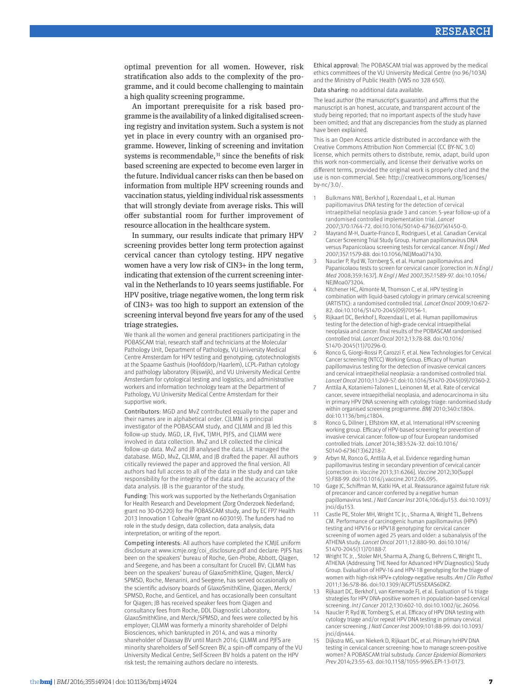optimal prevention for all women. However, risk stratification also adds to the complexity of the programme, and it could become challenging to maintain a high quality screening programme.

An important prerequisite for a risk based programme is the availability of a linked digitalised screening registry and invitation system. Such a system is not yet in place in every country with an organised programme. However, linking of screening and invitation systems is recommendable, $31$  since the benefits of risk based screening are expected to become even larger in the future. Individual cancer risks can then be based on information from multiple HPV screening rounds and vaccination status, yielding individual risk assessments that will strongly deviate from average risks. This will offer substantial room for further improvement of resource allocation in the healthcare system.

In summary, our results indicate that primary HPV screening provides better long term protection against cervical cancer than cytology testing. HPV negative women have a very low risk of CIN3+ in the long term, indicating that extension of the current screening interval in the Netherlands to 10 years seems justifiable. For HPV positive, triage negative women, the long term risk of CIN3+ was too high to support an extension of the screening interval beyond five years for any of the used triage strategies.

We thank all the women and general practitioners participating in the POBASCAM trial; research staff and technicians at the Molecular Pathology Unit, Department of Pathology, VU University Medical Centre Amsterdam for HPV testing and genotyping; cytotechnologists at the Spaarne Gasthuis (Hoofddorp/Haarlem), LCPL-Pathan cytology and pathology laboratory (Rijswijk), and VU University Medical Centre Amsterdam for cytological testing and logistics; and administrative workers and information technology team at the Department of Pathology, VU University Medical Centre Amsterdam for their supportive work.

Contributors: MGD and MvZ contributed equally to the paper and their names are in alphabetical order. CJLMM is principal investigator of the POBASCAM study, and CJLMM and JB led this follow-up study. MGD, LR, FJvK, TJMH, PJFS, and CJLMM were involved in data collection. MvZ and LR collected the clinical follow-up data. MvZ and JB analysed the data. LR managed the database. MGD, MvZ, CJLMM, and JB drafted the paper. All authors critically reviewed the paper and approved the final version. All authors had full access to all of the data in the study and can take responsibility for the integrity of the data and the accuracy of the data analysis. JB is the guarantor of the study.

Funding: This work was supported by the Netherlands Organisation for Health Research and Development (Zorg Onderzoek Nederland; grant no 30-05220) for the POBASCAM study, and by EC FP7 Health 2013 Innovation 1 CoheaHr (grant no 603019). The funders had no role in the study design, data collection, data analysis, data interpretation, or writing of the report.

Competing interests: All authors have completed the ICMJE uniform disclosure at www.icmje.org/coi\_disclosure.pdf and declare: PJFS has been on the speakers' bureau of Roche, Gen-Probe, Abbott, Qiagen, and Seegene, and has been a consultant for Crucell BV; CJLMM has been on the speakers' bureau of GlaxoSmithKline, Qiagen, Merck/ SPMSD, Roche, Menarini, and Seegene, has served occasionally on the scientific advisory boards of GlaxoSmithKline, Qiagen, Merck/ SPMSD, Roche, and Genticel, and has occasionally been consultant for Qiagen; JB has received speaker fees from Qiagen and consultancy fees from Roche, DDL Diagnostic Laboratory, GlaxoSmithKline, and Merck/SPMSD, and fees were collected by his employer; CJLMM was formerly a minority shareholder of Delphi Biosciences, which bankrupted in 2014, and was a minority shareholder of Diassay BV until March 2016; CJLMM and PJFS are minority shareholders of Self-Screen BV, a spin-off company of the VU University Medical Centre; Self-Screen BV holds a patent on the HPV risk test; the remaining authors declare no interests.

Ethical approval: The POBASCAM trial was approved by the medical ethics committees of the VU University Medical Centre (no 96/103A) and the Ministry of Public Health (VWS no 328 650).

Data sharing: no additional data available.

The lead author (the manuscript's guarantor) and affirms that the manuscript is an honest, accurate, and transparent account of the study being reported; that no important aspects of the study have been omitted; and that any discrepancies from the study as planned have been explained.

This is an Open Access article distributed in accordance with the Creative Commons Attribution Non Commercial (CC BY-NC 3.0) license, which permits others to distribute, remix, adapt, build upon this work non-commercially, and license their derivative works on different terms, provided the original work is properly cited and the use is non-commercial. See: http://creativecommons.org/licenses/ by-nc/3.0/.

- 1 Bulkmans NWJ, Berkhof J, Rozendaal L, et al. Human papillomavirus DNA testing for the detection of cervical intraepithelial neoplasia grade 3 and cancer: 5-year follow-up of a randomised controlled implementation trial. *Lancet* 2007;370:1764-72. doi:10.1016/S0140-6736(07)61450-0.
- 2 Mayrand M-H, Duarte-Franco E, Rodrigues I, et al. Canadian Cervical Cancer Screening Trial Study Group. Human papillomavirus DNA versus Papanicolaou screening tests for cervical cancer. *N Engl J Med* 2007;357:1579-88. doi:10.1056/NEJMoa071430.
- Naucler P, Ryd W, Törnberg S, et al. Human papillomavirus and Papanicolaou tests to screen for cervical cancer [correction in: *N Engl J Med* 2008;359:1637]. *N Engl J Med* 2007;357:1589-97. doi:10.1056/ NEJMoa073204.
- Kitchener HC, Almonte M, Thomson C, et al. HPV testing in combination with liquid-based cytology in primary cervical screening (ARTISTIC): a randomised controlled trial. *Lancet Oncol* 2009;10:672- 82. doi:10.1016/S1470-2045(09)70156-1.
- 5 Rijkaart DC, Berkhof J, Rozendaal L, et al. Human papillomavirus testing for the detection of high-grade cervical intraepithelial neoplasia and cancer: final results of the POBASCAM randomised controlled trial. *Lancet Oncol* 2012;13:78-88. doi:10.1016/ S1470-2045(11)70296-0.
- 6 Ronco G, Giorgi-Rossi P, Carozzi F, et al. New Technologies for Cervical Cancer screening (NTCC) Working Group. Efficacy of human papillomavirus testing for the detection of invasive cervical cancers and cervical intraepithelial neoplasia: a randomised controlled trial. *Lancet Oncol* 2010;11:249-57. doi:10.1016/S1470-2045(09)70360-2.
- 7 Anttila A, Kotaniemi-Talonen L, Leinonen M, et al. Rate of cervical cancer, severe intraepithelial neoplasia, and adenocarcinoma in situ in primary HPV DNA screening with cytology triage: randomised study within organised screening programme. *BMJ* 2010;340:c1804. doi:10.1136/bmj.c1804.
- 8 Ronco G, Dillner J, Elfström KM, et al. International HPV screening working group. Efficacy of HPV-based screening for prevention of invasive cervical cancer: follow-up of four European randomised controlled trials. *Lancet* 2014;383:524-32. doi:10.1016/ S0140-6736(13)62218-7.
- Arbyn M, Ronco G, Anttila A, et al. Evidence regarding human papillomavirus testing in secondary prevention of cervical cancer [correction in: *Vaccine* 2013;31:6266]. *Vaccine* 2012;30(Suppl 5):F88-99. doi:10.1016/j.vaccine.2012.06.095.
- 10 Gage JC, Schiffman M, Katki HA, et al. Reassurance against future risk of precancer and cancer conferred by a negative human papillomavirus test. *J Natl Cancer Inst* 2014;106:dju153. doi:10.1093/ jnci/dju153.
- 11 Castle PE, Stoler MH, Wright TC Jr, , Sharma A, Wright TL, Behrens CM. Performance of carcinogenic human papillomavirus (HPV) testing and HPV16 or HPV18 genotyping for cervical cancer screening of women aged 25 years and older: a subanalysis of the ATHENA study. *Lancet Oncol* 2011;12:880-90. doi:10.1016/ S1470-2045(11)70188-7.
- 12 Wright TC Jr, , Stoler MH, Sharma A, Zhang G, Behrens C, Wright TL. ATHENA (Addressing THE Need for Advanced HPV Diagnostics) Study Group. Evaluation of HPV-16 and HPV-18 genotyping for the triage of women with high-risk HPV+ cytology-negative results. *Am J Clin Pathol* 2011;136:578-86. doi:10.1309/AJCPTUS5EXAS6DKZ.
- 13 Rijkaart DC, Berkhof J, van Kemenade FJ, et al. Evaluation of 14 triage strategies for HPV DNA-positive women in population-based cervical screening. *Int J Cancer* 2012;130:602-10. doi:10.1002/ijc.26056.
- 14 Naucler P, Ryd W, Törnberg S, et al. Efficacy of HPV DNA testing with cytology triage and/or repeat HPV DNA testing in primary cervical cancer screening. *J Natl Cancer Inst* 2009;101:88-99. doi:10.1093/ jnci/djn444.
- 15 Dijkstra MG, van Niekerk D, Rijkaart DC, et al. Primary hrHPV DNA testing in cervical cancer screening: how to manage screen-positive women? A POBASCAM trial substudy. *Cancer Epidemiol Biomarkers Prev* 2014;23:55-63. doi:10.1158/1055-9965.EPI-13-0173.